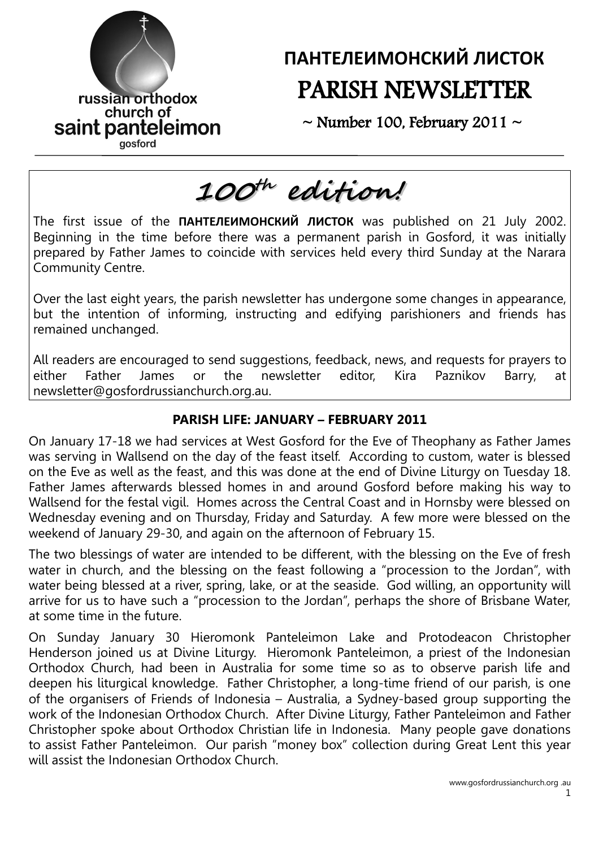

# **ПАНТЕЛЕИМОНСКИЙ ЛИСТОК** PARISH NEWSLETTER

 $\sim$  Number 100, February 2011  $\sim$ 

# **100 th edition!** The first issue of the **ПАНТЕЛЕИМОНСКИЙ ЛИСТОК** was published on 21 July 2002. Beginning in the time before there was a permanent parish in Gosford, it was initially prepared by Father James to coincide with services held every third Sunday at the Narara Community Centre.

Over the last eight years, the parish newsletter has undergone some changes in appearance, but the intention of informing, instructing and edifying parishioners and friends has remained unchanged.

All readers are encouraged to send suggestions, feedback, news, and requests for prayers to either Father James or the newsletter editor, Kira Paznikov Barry, at newsletter@gosfordrussianchurch.org.au.

# **PARISH LIFE: JANUARY – FEBRUARY 2011**

On January 17-18 we had services at West Gosford for the Eve of Theophany as Father James was serving in Wallsend on the day of the feast itself. According to custom, water is blessed on the Eve as well as the feast, and this was done at the end of Divine Liturgy on Tuesday 18. Father James afterwards blessed homes in and around Gosford before making his way to Wallsend for the festal vigil. Homes across the Central Coast and in Hornsby were blessed on Wednesday evening and on Thursday, Friday and Saturday. A few more were blessed on the weekend of January 29-30, and again on the afternoon of February 15.

The two blessings of water are intended to be different, with the blessing on the Eve of fresh water in church, and the blessing on the feast following a "procession to the Jordan", with water being blessed at a river, spring, lake, or at the seaside. God willing, an opportunity will arrive for us to have such a "procession to the Jordan", perhaps the shore of Brisbane Water, at some time in the future.

On Sunday January 30 Hieromonk Panteleimon Lake and Protodeacon Christopher Henderson joined us at Divine Liturgy. Hieromonk Panteleimon, a priest of the Indonesian Orthodox Church, had been in Australia for some time so as to observe parish life and deepen his liturgical knowledge. Father Christopher, a long-time friend of our parish, is one of the organisers of Friends of Indonesia – Australia, a Sydney-based group supporting the work of the Indonesian Orthodox Church. After Divine Liturgy, Father Panteleimon and Father Christopher spoke about Orthodox Christian life in Indonesia. Many people gave donations to assist Father Panteleimon. Our parish "money box" collection during Great Lent this year will assist the Indonesian Orthodox Church.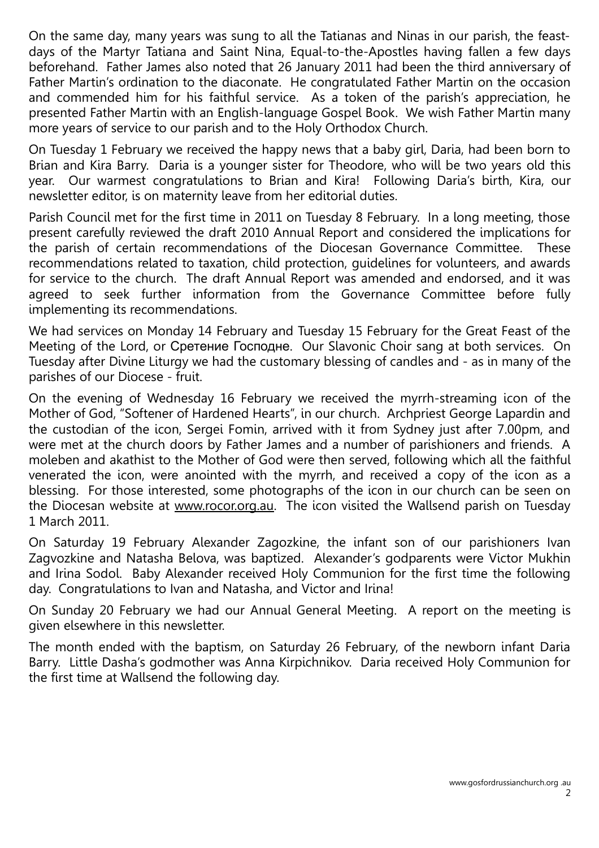On the same day, many years was sung to all the Tatianas and Ninas in our parish, the feastdays of the Martyr Tatiana and Saint Nina, Equal-to-the-Apostles having fallen a few days beforehand. Father James also noted that 26 January 2011 had been the third anniversary of Father Martin's ordination to the diaconate. He congratulated Father Martin on the occasion and commended him for his faithful service. As a token of the parish's appreciation, he presented Father Martin with an English-language Gospel Book. We wish Father Martin many more years of service to our parish and to the Holy Orthodox Church.

On Tuesday 1 February we received the happy news that a baby girl, Daria, had been born to Brian and Kira Barry. Daria is a younger sister for Theodore, who will be two years old this year. Our warmest congratulations to Brian and Kira! Following Daria's birth, Kira, our newsletter editor, is on maternity leave from her editorial duties.

Parish Council met for the first time in 2011 on Tuesday 8 February. In a long meeting, those present carefully reviewed the draft 2010 Annual Report and considered the implications for the parish of certain recommendations of the Diocesan Governance Committee. These recommendations related to taxation, child protection, guidelines for volunteers, and awards for service to the church. The draft Annual Report was amended and endorsed, and it was agreed to seek further information from the Governance Committee before fully implementing its recommendations.

We had services on Monday 14 February and Tuesday 15 February for the Great Feast of the Meeting of the Lord, or Сретение Господне. Our Slavonic Choir sang at both services. On Tuesday after Divine Liturgy we had the customary blessing of candles and - as in many of the parishes of our Diocese - fruit.

On the evening of Wednesday 16 February we received the myrrh-streaming icon of the Mother of God, "Softener of Hardened Hearts", in our church. Archpriest George Lapardin and the custodian of the icon, Sergei Fomin, arrived with it from Sydney just after 7.00pm, and were met at the church doors by Father James and a number of parishioners and friends. A moleben and akathist to the Mother of God were then served, following which all the faithful venerated the icon, were anointed with the myrrh, and received a copy of the icon as a blessing. For those interested, some photographs of the icon in our church can be seen on the Diocesan website at [www.rocor.org.au.](http://www.rocor.org.au/) The icon visited the Wallsend parish on Tuesday 1 March 2011.

On Saturday 19 February Alexander Zagozkine, the infant son of our parishioners Ivan Zagvozkine and Natasha Belova, was baptized. Alexander's godparents were Victor Mukhin and Irina Sodol. Baby Alexander received Holy Communion for the first time the following day. Congratulations to Ivan and Natasha, and Victor and Irina!

On Sunday 20 February we had our Annual General Meeting. A report on the meeting is given elsewhere in this newsletter.

The month ended with the baptism, on Saturday 26 February, of the newborn infant Daria Barry. Little Dasha's godmother was Anna Kirpichnikov. Daria received Holy Communion for the first time at Wallsend the following day.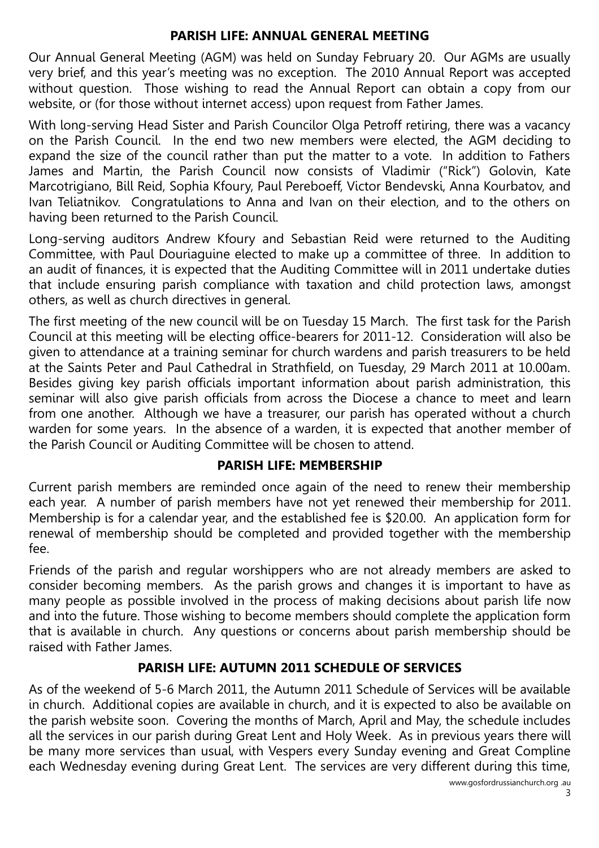## **PARISH LIFE: ANNUAL GENERAL MEETING**

Our Annual General Meeting (AGM) was held on Sunday February 20. Our AGMs are usually very brief, and this year's meeting was no exception. The 2010 Annual Report was accepted without question. Those wishing to read the Annual Report can obtain a copy from our website, or (for those without internet access) upon request from Father James.

With long-serving Head Sister and Parish Councilor Olga Petroff retiring, there was a vacancy on the Parish Council. In the end two new members were elected, the AGM deciding to expand the size of the council rather than put the matter to a vote. In addition to Fathers James and Martin, the Parish Council now consists of Vladimir ("Rick") Golovin, Kate Marcotrigiano, Bill Reid, Sophia Kfoury, Paul Pereboeff, Victor Bendevski, Anna Kourbatov, and Ivan Teliatnikov. Congratulations to Anna and Ivan on their election, and to the others on having been returned to the Parish Council.

Long-serving auditors Andrew Kfoury and Sebastian Reid were returned to the Auditing Committee, with Paul Douriaguine elected to make up a committee of three. In addition to an audit of finances, it is expected that the Auditing Committee will in 2011 undertake duties that include ensuring parish compliance with taxation and child protection laws, amongst others, as well as church directives in general.

The first meeting of the new council will be on Tuesday 15 March. The first task for the Parish Council at this meeting will be electing office-bearers for 2011-12. Consideration will also be given to attendance at a training seminar for church wardens and parish treasurers to be held at the Saints Peter and Paul Cathedral in Strathfield, on Tuesday, 29 March 2011 at 10.00am. Besides giving key parish officials important information about parish administration, this seminar will also give parish officials from across the Diocese a chance to meet and learn from one another. Although we have a treasurer, our parish has operated without a church warden for some years. In the absence of a warden, it is expected that another member of the Parish Council or Auditing Committee will be chosen to attend.

# **PARISH LIFE: MEMBERSHIP**

Current parish members are reminded once again of the need to renew their membership each year. A number of parish members have not yet renewed their membership for 2011. Membership is for a calendar year, and the established fee is \$20.00. An application form for renewal of membership should be completed and provided together with the membership fee.

Friends of the parish and regular worshippers who are not already members are asked to consider becoming members. As the parish grows and changes it is important to have as many people as possible involved in the process of making decisions about parish life now and into the future. Those wishing to become members should complete the application form that is available in church. Any questions or concerns about parish membership should be raised with Father James.

# **PARISH LIFE: AUTUMN 2011 SCHEDULE OF SERVICES**

As of the weekend of 5-6 March 2011, the Autumn 2011 Schedule of Services will be available in church. Additional copies are available in church, and it is expected to also be available on the parish website soon. Covering the months of March, April and May, the schedule includes all the services in our parish during Great Lent and Holy Week. As in previous years there will be many more services than usual, with Vespers every Sunday evening and Great Compline each Wednesday evening during Great Lent. The services are very different during this time,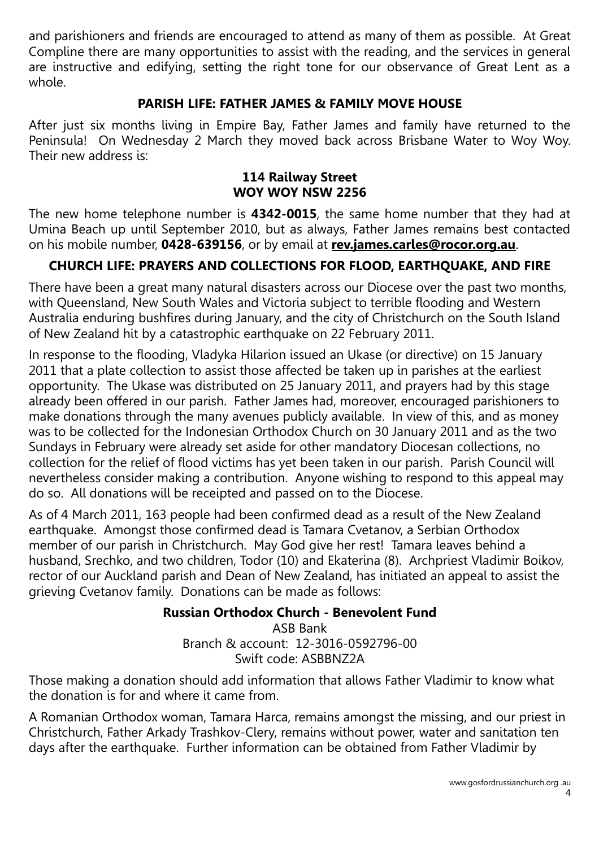and parishioners and friends are encouraged to attend as many of them as possible. At Great Compline there are many opportunities to assist with the reading, and the services in general are instructive and edifying, setting the right tone for our observance of Great Lent as a whole.

# **PARISH LIFE: FATHER JAMES & FAMILY MOVE HOUSE**

After just six months living in Empire Bay, Father James and family have returned to the Peninsula! On Wednesday 2 March they moved back across Brisbane Water to Woy Woy. Their new address is:

#### **114 Railway Street WOY WOY NSW 2256**

The new home telephone number is **4342-0015**, the same home number that they had at Umina Beach up until September 2010, but as always, Father James remains best contacted on his mobile number, **0428-639156**, or by email at **[rev.james.carles@rocor.org.au](mailto:rev.james.carles@rocor.org.au)**.

# **CHURCH LIFE: PRAYERS AND COLLECTIONS FOR FLOOD, EARTHQUAKE, AND FIRE**

There have been a great many natural disasters across our Diocese over the past two months, with Queensland, New South Wales and Victoria subject to terrible flooding and Western Australia enduring bushfires during January, and the city of Christchurch on the South Island of New Zealand hit by a catastrophic earthquake on 22 February 2011.

In response to the flooding, Vladyka Hilarion issued an Ukase (or directive) on 15 January 2011 that a plate collection to assist those affected be taken up in parishes at the earliest opportunity. The Ukase was distributed on 25 January 2011, and prayers had by this stage already been offered in our parish. Father James had, moreover, encouraged parishioners to make donations through the many avenues publicly available. In view of this, and as money was to be collected for the Indonesian Orthodox Church on 30 January 2011 and as the two Sundays in February were already set aside for other mandatory Diocesan collections, no collection for the relief of flood victims has yet been taken in our parish. Parish Council will nevertheless consider making a contribution. Anyone wishing to respond to this appeal may do so. All donations will be receipted and passed on to the Diocese.

As of 4 March 2011, 163 people had been confirmed dead as a result of the New Zealand earthquake. Amongst those confirmed dead is Tamara Cvetanov, a Serbian Orthodox member of our parish in Christchurch. May God give her rest! Tamara leaves behind a husband, Srechko, and two children, Todor (10) and Ekaterina (8). Archpriest Vladimir Boikov, rector of our Auckland parish and Dean of New Zealand, has initiated an appeal to assist the grieving Cvetanov family. Donations can be made as follows:

# **Russian Orthodox Church - Benevolent Fund**

ASB Bank Branch & account: 12-3016-0592796-00 Swift code: ASBBNZ2A

Those making a donation should add information that allows Father Vladimir to know what the donation is for and where it came from.

A Romanian Orthodox woman, Tamara Harca, remains amongst the missing, and our priest in Christchurch, Father Arkady Trashkov-Clery, remains without power, water and sanitation ten days after the earthquake. Further information can be obtained from Father Vladimir by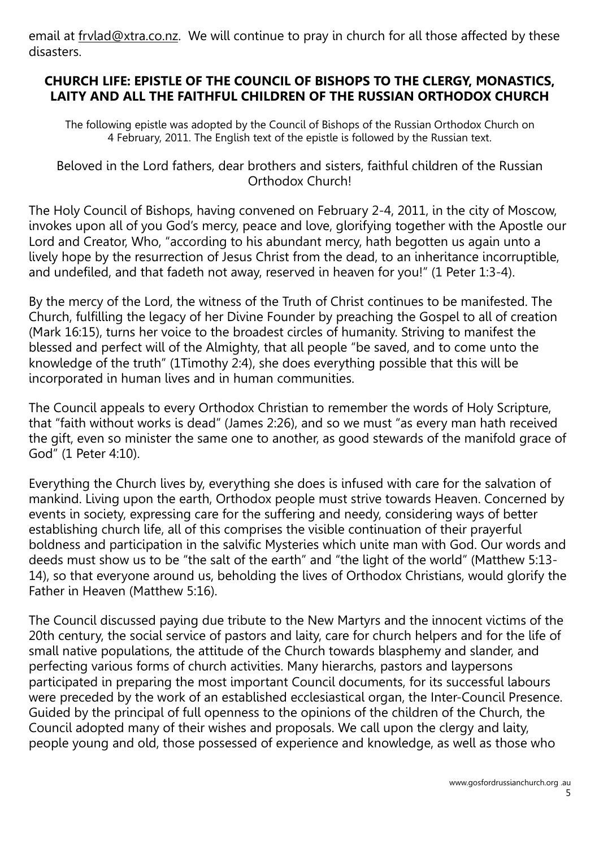email at frylad@xtra.co.nz. We will continue to pray in church for all those affected by these disasters.

# **CHURCH LIFE: EPISTLE OF THE COUNCIL OF BISHOPS TO THE CLERGY, MONASTICS, LAITY AND ALL THE FAITHFUL CHILDREN OF THE RUSSIAN ORTHODOX CHURCH**

The following epistle was adopted by the Council of Bishops of the Russian Orthodox Church on 4 February, 2011. The English text of the epistle is followed by the Russian text.

#### Beloved in the Lord fathers, dear brothers and sisters, faithful children of the Russian Orthodox Church!

The Holy Council of Bishops, having convened on February 2-4, 2011, in the city of Moscow, invokes upon all of you God's mercy, peace and love, glorifying together with the Apostle our Lord and Creator, Who, "according to his abundant mercy, hath begotten us again unto a lively hope by the resurrection of Jesus Christ from the dead, to an inheritance incorruptible, and undefiled, and that fadeth not away, reserved in heaven for you!" (1 Peter 1:3-4).

By the mercy of the Lord, the witness of the Truth of Christ continues to be manifested. The Church, fulfilling the legacy of her Divine Founder by preaching the Gospel to all of creation (Mark 16:15), turns her voice to the broadest circles of humanity. Striving to manifest the blessed and perfect will of the Almighty, that all people "be saved, and to come unto the knowledge of the truth" (1Timothy 2:4), she does everything possible that this will be incorporated in human lives and in human communities.

The Council appeals to every Orthodox Christian to remember the words of Holy Scripture, that "faith without works is dead" (James 2:26), and so we must "as every man hath received the gift, even so minister the same one to another, as good stewards of the manifold grace of God" (1 Peter 4:10).

Everything the Church lives by, everything she does is infused with care for the salvation of mankind. Living upon the earth, Orthodox people must strive towards Heaven. Concerned by events in society, expressing care for the suffering and needy, considering ways of better establishing church life, all of this comprises the visible continuation of their prayerful boldness and participation in the salvific Mysteries which unite man with God. Our words and deeds must show us to be "the salt of the earth" and "the light of the world" (Matthew 5:13- 14), so that everyone around us, beholding the lives of Orthodox Christians, would glorify the Father in Heaven (Matthew 5:16).

The Council discussed paying due tribute to the New Martyrs and the innocent victims of the 20th century, the social service of pastors and laity, care for church helpers and for the life of small native populations, the attitude of the Church towards blasphemy and slander, and perfecting various forms of church activities. Many hierarchs, pastors and laypersons participated in preparing the most important Council documents, for its successful labours were preceded by the work of an established ecclesiastical organ, the Inter-Council Presence. Guided by the principal of full openness to the opinions of the children of the Church, the Council adopted many of their wishes and proposals. We call upon the clergy and laity, people young and old, those possessed of experience and knowledge, as well as those who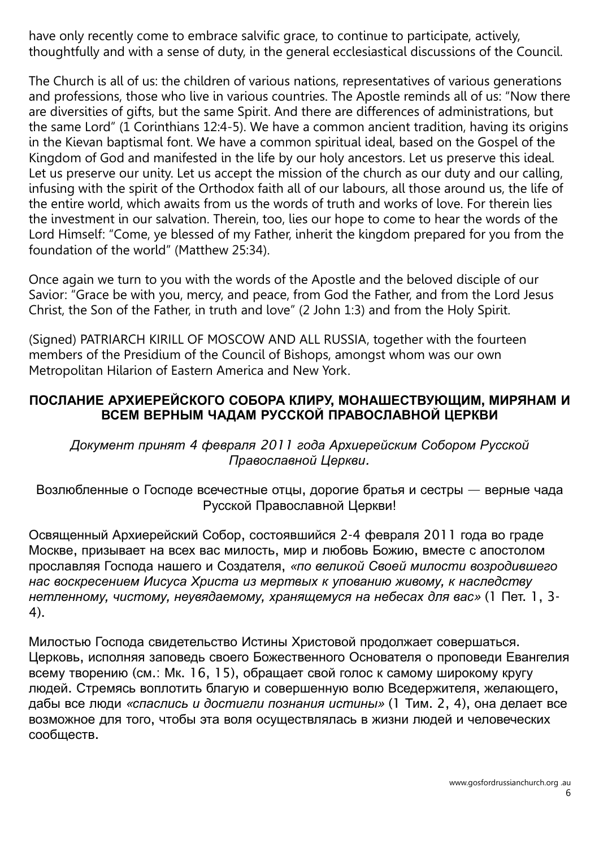have only recently come to embrace salvific grace, to continue to participate, actively, thoughtfully and with a sense of duty, in the general ecclesiastical discussions of the Council.

The Church is all of us: the children of various nations, representatives of various generations and professions, those who live in various countries. The Apostle reminds all of us: "Now there are diversities of gifts, but the same Spirit. And there are differences of administrations, but the same Lord" (1 Corinthians 12:4-5). We have a common ancient tradition, having its origins in the Kievan baptismal font. We have a common spiritual ideal, based on the Gospel of the Kingdom of God and manifested in the life by our holy ancestors. Let us preserve this ideal. Let us preserve our unity. Let us accept the mission of the church as our duty and our calling, infusing with the spirit of the Orthodox faith all of our labours, all those around us, the life of the entire world, which awaits from us the words of truth and works of love. For therein lies the investment in our salvation. Therein, too, lies our hope to come to hear the words of the Lord Himself: "Come, ye blessed of my Father, inherit the kingdom prepared for you from the foundation of the world" (Matthew 25:34).

Once again we turn to you with the words of the Apostle and the beloved disciple of our Savior: "Grace be with you, mercy, and peace, from God the Father, and from the Lord Jesus Christ, the Son of the Father, in truth and love" (2 John 1:3) and from the Holy Spirit.

(Signed) PATRIARCH KIRILL OF MOSCOW AND ALL RUSSIA, together with the fourteen members of the Presidium of the Council of Bishops, amongst whom was our own Metropolitan Hilarion of Eastern America and New York.

### **ПОСЛАНИЕ АРХИЕРЕЙСКОГО СОБОРА КЛИРУ**, **МОНАШЕСТВУЮЩИМ**, **МИРЯНАМ И ВСЕМ ВЕРНЫМ ЧАДАМ РУССКОЙ ПРАВОСЛАВНОЙ ЦЕРКВИ**

*Документ принят 4 февраля 2011 года Архиерейским Собором Русской Православной Церкви.*

Возлюбленные о Господе всечестные отцы, дорогие братья и сестры — верные чада Русской Православной Церкви!

Освященный Архиерейский Собор, состоявшийся 2-4 февраля 2011 года во граде Москве, призывает на всех вас милость, мир и любовь Божию, вместе с апостолом прославляя Господа нашего и Создателя, *«по великой Своей милости возродившего нас воскресением Иисуса Христа из мертвых к упованию живому, к наследству нетленному, чистому, неувядаемому, хранящемуся на небесах для вас»* (1 Пет. 1, 3- 4).

Милостью Господа свидетельство Истины Христовой продолжает совершаться. Церковь, исполняя заповедь своего Божественного Основателя о проповеди Евангелия всему творению (см.: Мк. 16, 15), обращает свой голос к самому широкому кругу людей. Стремясь воплотить благую и совершенную волю Вседержителя, желающего, дабы все люди *«спаслись и достигли познания истины»* (1 Тим. 2, 4), она делает все возможное для того, чтобы эта воля осуществлялась в жизни людей и человеческих сообществ.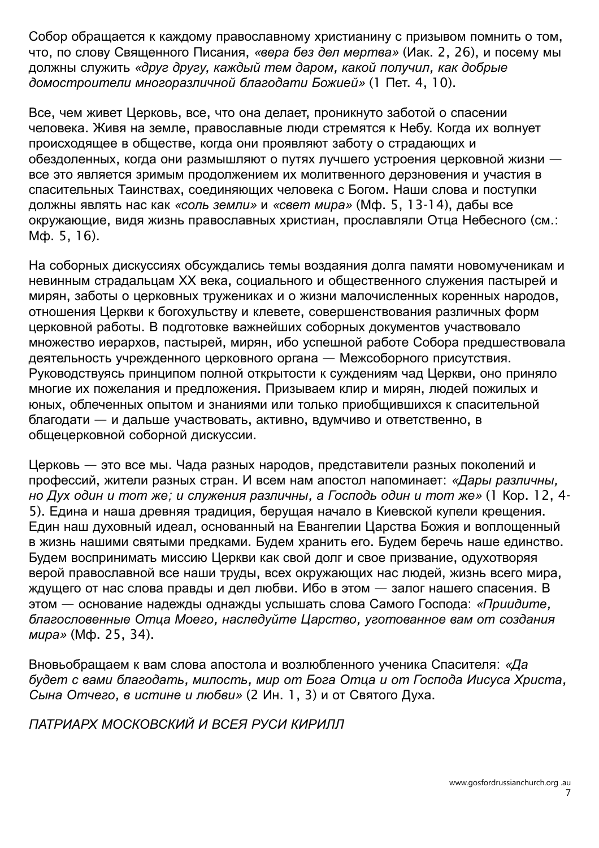Собор обращается к каждому православному христианину с призывом помнить о том, что, по слову Священного Писания, *«вера без дел мертва»* (Иак. 2, 26), и посему мы должны служить *«друг другу, каждый тем даром, какой получил, как добрые домостроители многоразличной благодати Божией»* (1 Пет. 4, 10).

Все, чем живет Церковь, все, что она делает, проникнуто заботой о спасении человека. Живя на земле, православные люди стремятся к Небу. Когда их волнует происходящее в обществе, когда они проявляют заботу о страдающих и обездоленных, когда они размышляют о путях лучшего устроения церковной жизни все это является зримым продолжением их молитвенного дерзновения и участия в спасительных Таинствах, соединяющих человека с Богом. Наши слова и поступки должны являть нас как *«соль земли»* и *«свет мира»* (Мф. 5, 13-14), дабы все окружающие, видя жизнь православных христиан, прославляли Отца Небесного (см.: Мф. 5, 16).

На соборных дискуссиях обсуждались темы воздаяния долга памяти новомученикам и невинным страдальцам ХХ века, социального и общественного служения пастырей и мирян, заботы о церковных тружениках и о жизни малочисленных коренных народов, отношения Церкви к богохульству и клевете, совершенствования различных форм церковной работы. В подготовке важнейших соборных документов участвовало множество иерархов, пастырей, мирян, ибо успешной работе Собора предшествовала деятельность учрежденного церковного органа — Межсоборного присутствия. Руководствуясь принципом полной открытости к суждениям чад Церкви, оно приняло многие их пожелания и предложения. Призываем клир и мирян, людей пожилых и юных, облеченных опытом и знаниями или только приобщившихся к спасительной благодати — и дальше участвовать, активно, вдумчиво и ответственно, в общецерковной соборной дискуссии.

Церковь — это все мы. Чада разных народов, представители разных поколений и профессий, жители разных стран. И всем нам апостол напоминает: *«Дары различны, но Дух один и тот же; и служения различны, а Господь один и тот же»* (1 Кор. 12, 4- 5). Едина и наша древняя традиция, берущая начало в Киевской купели крещения. Един наш духовный идеал, основанный на Евангелии Царства Божия и воплощенный в жизнь нашими святыми предками. Будем хранить его. Будем беречь наше единство. Будем воспринимать миссию Церкви как свой долг и свое призвание, одухотворяя верой православной все наши труды, всех окружающих нас людей, жизнь всего мира, ждущего от нас слова правды и дел любви. Ибо в этом — залог нашего спасения. В этом — основание надежды однажды услышать слова Самого Господа: *«Приидите, благословенные Отца Моего, наследуйте Царство, уготованное вам от создания мира»* (Мф. 25, 34).

Вновьобращаем к вам слова апостола и возлюбленного ученика Спасителя: *«Да будет с вами благодать, милость, мир от Бога Отца и от Господа Иисуса Христа, Сына Отчего, в истине и любви»* (2 Ин. 1, 3) и от Святого Духа.

*ПАТРИАРХ МОСКОВСКИЙ И ВСЕЯ РУСИ КИРИЛЛ*